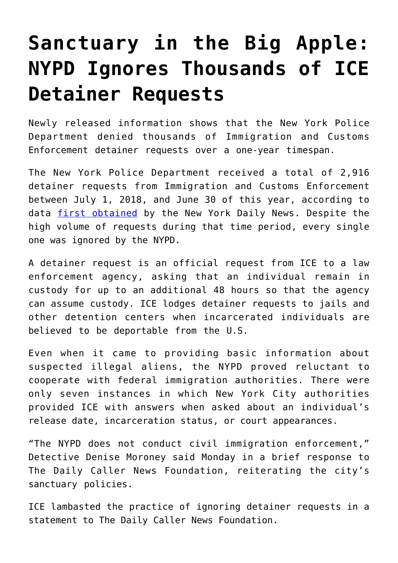## **[Sanctuary in the Big Apple:](https://intellectualtakeout.org/2019/08/sanctuary-in-the-big-apple-nypd-ignores-thousands-of-ice-detainer-requests/) [NYPD Ignores Thousands of ICE](https://intellectualtakeout.org/2019/08/sanctuary-in-the-big-apple-nypd-ignores-thousands-of-ice-detainer-requests/) [Detainer Requests](https://intellectualtakeout.org/2019/08/sanctuary-in-the-big-apple-nypd-ignores-thousands-of-ice-detainer-requests/)**

Newly released information shows that the New York Police Department denied thousands of Immigration and Customs Enforcement detainer requests over a one-year timespan.

The New York Police Department received a total of 2,916 detainer requests from Immigration and Customs Enforcement between July 1, 2018, and June 30 of this year, according to data [first obtained](https://www.nydailynews.com/new-york/ny-ice-nypd-detainers-20190818-a2ngqtoudrafvfehfmv436izeu-story.html) by the New York Daily News. Despite the high volume of requests during that time period, every single one was ignored by the NYPD.

A detainer request is an official request from ICE to a law enforcement agency, asking that an individual remain in custody for up to an additional 48 hours so that the agency can assume custody. ICE lodges detainer requests to jails and other detention centers when incarcerated individuals are believed to be deportable from the U.S.

Even when it came to providing basic information about suspected illegal aliens, the NYPD proved reluctant to cooperate with federal immigration authorities. There were only seven instances in which New York City authorities provided ICE with answers when asked about an individual's release date, incarceration status, or court appearances.

"The NYPD does not conduct civil immigration enforcement," Detective Denise Moroney said Monday in a brief response to The Daily Caller News Foundation, reiterating the city's sanctuary policies.

ICE lambasted the practice of ignoring detainer requests in a statement to The Daily Caller News Foundation.